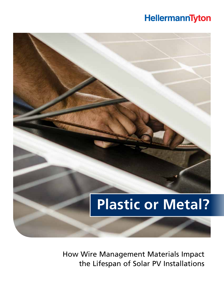# HellermannTyton



How Wire Management Materials Impact the Lifespan of Solar PV Installations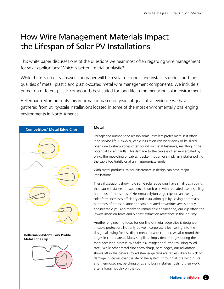# How Wire Management Materials Impact the Lifespan of Solar PV Installations

This white paper discusses one of the questions we hear most often regarding wire management for solar applications: Which is better – metal or plastic?

While there is no easy answer, this paper will help solar designers and installers understand the qualities of metal, plastic and plastic-coated metal wire management components. We include a primer on different plastic compounds best suited for long life in the menacing solar environment.

HellermannTyton presents this information based on years of qualitative evidence we have gathered from utility-scale installations located in some of the most environmentally challenging environments in North America.



# **Metal**

Perhaps the number one reason some installers prefer metal is it offers long service life. However, cable insulation can wear away or be sliced open due to sharp edges often found on metal fasteners, resulting in the potential for arc faults. This damage to the cable is often exacerbated by wind, thermocycling of cables, tracker motion or simply an installer pulling the cable too tightly or at an inappropriate angle.

With metal products, minor differences in design can have major implications.

These illustrations show how some solar edge clips have small push points that cause installers to experience thumb pain with repeated use. Installing hundreds of thousands of HellermannTyton edge clips on an average solar farm increases efficiency and installation quality, saving potentially hundreds of hours in labor and strain-related downtime versus poorly engineered clips. And thanks to remarkable engineering, our clip offers the lowest insertion force and highest extraction resistance in the industry.

Another engineering focus for our line of metal edge clips is designedin cable protection. Not only do we incorporate a leaf spring into the design, allowing for less direct metal-to-wire contact, we also round the edges in critical areas. Many suppliers simply deburr edges during the manufacturing process. We take risk mitigation further by using rolled steel. While other metal clips show sharp, hard edges, our advantage shows off in the details. Rolled steel edge clips are far less likely to nick or damage PV cables over the life of the system, through all the wind gusts and thermocycling, perching birds and busy installers rushing their work after a long, hot day on the roof.

2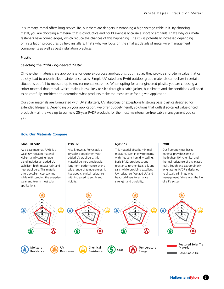In summary, metal offers long service life, but there are dangers in wrapping a high voltage cable in it. By choosing metal, you are choosing a material that is conductive and could eventually cause a short or arc fault. That's why our metal fasteners have coined edges, which reduce the chances of this happening. The risk is potentially increased depending on installation procedures by field installers. That's why we focus on the smallest details of metal wire management components as well as best installation practices.

### **Plastic**

#### *Selecting the Right Engineered Plastic*

Off-the-shelf materials are appropriate for general-purpose applications, but in solar, they provide short-term value that can quickly lead to uncontrolled maintenance costs. Simple UV-rated and PA66 outdoor grade materials can deliver in certain situations but fail to measure up to environmental extremes. When opting for an engineered plastic, you are choosing a softer material than metal, which makes it less likely to slice through a cable jacket, but climate and site conditions will need to be carefully considered to determine what products make the most sense for a given application.

Our solar materials are formulated with UV stabilizers, UV absorbers or exceptionally strong base plastics designed for extended lifespans. Depending on your application, we offer budget-friendly solutions that outlast so-called value-priced products – all the way up to our new 25-year PVDF products for the most maintenance-free cable management you can get.

#### **How Our Materials Compare**

#### **PA66HIRHSUV**

As a base material, PA66 is a weak UV resistant material. HellermannTyton's unique blend includes an added UV stabilizer, high-impact resin and heat stabilizers. This material offers excellent cost savings while withstanding the everyday wear and tear in most solar applications.

#### **POMUV**

Also known as Polyacetal, a crystalline copolymer. With added UV stabilizers, this material delivers predictable, long-term performance over a wide range of temperatures. It has good chemical resistance with increased strength and rigidity.

#### **Nylon 12**

This material absorbs minimal moisture, even in environments with frequent humidity cycling. Basic PA12 provides strong resistance to chemicals, oils and salts, while providing excellent UV resistance. We add UV and heat stabilizers to enhance strength and durability.

#### **PVDF**

Our fluoropolymer-based material provides some of the highest UV, chemical and thermal resistance of any plastic resin. Tough and extraordinarily long lasting, PVDF is designed to virtually eliminate wire management failure over the life of a PV system.



3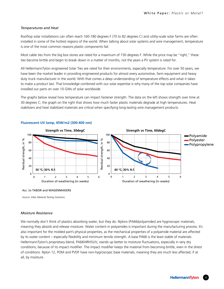# *Temperatures and Heat*

Rooftop solar installations can often reach 160-180 degrees F (70 to 82 degrees C) and utility-scale solar farms are often installed in some of the hottest regions of the world. When talking about solar systems and wire management, temperature is one of the most common reasons plastic components fail.

Most cable ties from the big box stores are rated for a maximum of 150 degrees F. While the price may be "right," these ties become brittle and begin to break down in a matter of months, not the years a PV system is rated for.

All HellermannTyton engineered Solar Ties are rated for their environments, especially temperature. For over 50 years, we have been the market leader in providing engineered products for almost every automotive, farm equipment and heavy duty truck manufacturer in the world. With that comes a deep understanding of temperature effects and what it takes to make a product last. That knowledge combined with our solar expertise is why many of the top solar companies have installed our parts on over 10 GWs of solar worldwide.

The graphs below reveal how temperature can impact fastener strength. The data on the left shows strength over time at 30 degrees C; the graph on the right that shows how much faster plastic materials degrade at high temperatures. Heat stabilizers and heat stabilized materials are critical when specifying long-lasting wire management products.



# **Fluorescent UV lamp, 45W/m2 (300-400 nm)**

#### Acc. to TABOR and WAGENMAKERS

*Source: Atlas Material Testing Solutions*

#### *Moisture Resistance*

We normally don't think of plastics absorbing water, but they do. Nylons (PA66/polyamides) are hygroscopic materials, meaning they absorb and release moisture. Water content in polyamides is important during the manufacturing process. It's also important for the molded part's physical properties, as the mechanical properties of a polyamide material are affected by its water content – especially flexibility and minimum tensile strength. A base PA66 is the least stable of materials. HellermannTyton's proprietary blend, PA66HIRHSUV, stands up better to moisture fluctuations, especially in very dry conditions, because of its impact modifier. The impact modifier keeps the material from becoming brittle, even in the driest of conditions. Nylon 12, POM and PVDF have non-hygroscopic base materials, meaning they are much less affected, if at all, by moisture.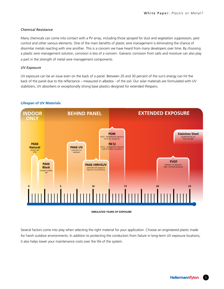# *Chemical Resistance*

Many chemicals can come into contact with a PV array, including those sprayed for dust and vegetation suppression, pest control and other various elements. One of the main benefits of plastic wire management is eliminating the chance of dissimilar metals reacting with one another. This is a concern we have heard from many developers over time. By choosing a plastic wire management solution, corrosion is less of a concern. Galvanic corrosion from salts and moisture can also play a part in the strength of metal wire management components.

# *UV Exposure*

UV exposure can be an issue even on the back of a panel. Between 20 and 30 percent of the sun's energy can hit the back of the panel due to the reflectance – measured in albedos - of the soil. Our solar materials are formulated with UV stabilizers, UV absorbers or exceptionally strong base plastics designed for extended lifespans.

# **Lifespan of UV Materials**



#### **SIMULATED YEARS OF EXPOSURE**

Several factors come into play when selecting the right material for your application. Choose an engineered plastic made for harsh outdoor environments. In addition to protecting the conductors from failure in long-term UV exposure locations, it also helps lower your maintenance costs over the life of the system.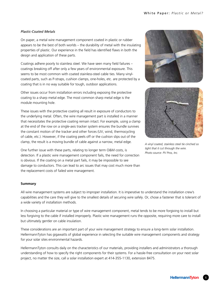# *Plastic-Coated Metals*

On paper, a metal wire management component coated in plastic or rubber appears to be the best of both worlds – the durability of metal with the insulating properties of plastic. Our experience in the field has identified flaws in both the design and application of these parts.

Coatings adhere poorly to stainless steel. We have seen many field failures – coatings breaking off after only a few years of environmental exposure. This seems to be most common with coated stainless-steel cable ties. Many vinylcoated parts, such as P-straps, cushion clamps, one-holes, etc. are protected by a coating that is in no way suitable for tough, outdoor applications.

Other issues occur from installation errors including exposing the protective coating to a sharp metal edge. The most common sharp metal edge is the module mounting hole.

These issues with the protective coating all result in exposure of conductors to the underlying metal. Often, the wire management part is installed in a manner that necessitates the protective coating remain intact. For example, using a clamp at the end of the row on a single-axis tracker system ensures the bundle survives the constant motion of the tracker and other forces (UV, wind, thermocycling of cable, etc.). However, if the coating peels off or the cushion slips out of the clamp, the result is a moving bundle of cable against a narrow, metal edge.

One further issue with these parts, relating to longer term O&M costs, is detection. If a plastic wire management component fails, the need for correction is obvious. If the coating on a metal part fails, it may be impossible to see damage to conductors. This can lead to arc issues that may cost much more than the replacement costs of failed wire management.





*A vinyl coated, stainless steel tie cinched so tight that it cut through the wire. Photo source: PV Pros, Inc.*

# **Summary**

All wire management systems are subject to improper installation. It is imperative to understand the installation crew's capabilities and the care they will give to the smallest details of securing wire safely. Or, chose a fastener that is tolerant of a wide variety of installation methods.

In choosing a particular material or type of wire management component, metal tends to be more forgiving to install but less forgiving to the cable if installed improperly. Plastic wire management runs the opposite, requiring more care to install but ultimately gentler on cable insulation.

These considerations are an important part of your wire management strategy to ensure a long-term solar installation. HellermannTyton has gigawatts of global experience in selecting the suitable wire management components and strategy for your solar sites environmental hazards.

HellermannTyton consults daily on the characteristics of our materials, providing installers and administrators a thorough understanding of how to specify the right components for their systems. For a hassle-free consultation on your next solar project, no matter the size, call a solar installation expert at 414-355-1130, extension 8475.